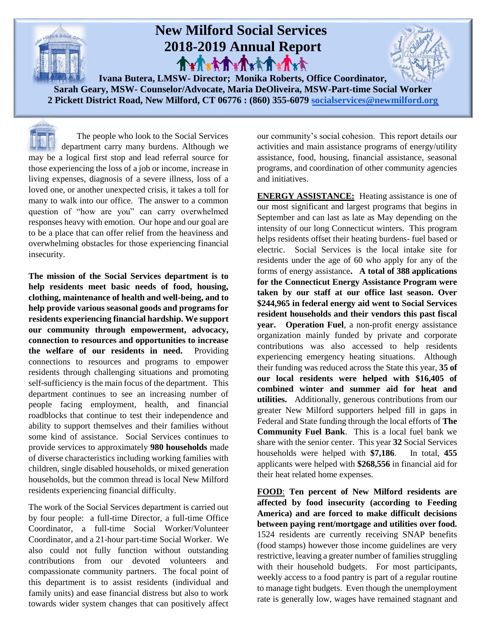

**2 Pickett District Road, New Milford, CT 06776 : (860) 355-6079 [socialservices@newmilford.org](mailto:socialservices@newmilford.org)**

 The people who look to the Social Services department carry many burdens. Although we may be a logical first stop and lead referral source for those experiencing the loss of a job or income, increase in living expenses, diagnosis of a severe illness, loss of a loved one, or another unexpected crisis, it takes a toll for many to walk into our office. The answer to a common question of "how are you" can carry overwhelmed responses heavy with emotion. Our hope and our goal are to be a place that can offer relief from the heaviness and overwhelming obstacles for those experiencing financial insecurity.

**The mission of the Social Services department is to help residents meet basic needs of food, housing, clothing, maintenance of health and well-being, and to help provide various seasonal goods and programs for residents experiencing financial hardship. We support our community through empowerment, advocacy, connection to resources and opportunities to increase the welfare of our residents in need.** Providing connections to resources and programs to empower residents through challenging situations and promoting self-sufficiency is the main focus of the department. This department continues to see an increasing number of people facing employment, health, and financial roadblocks that continue to test their independence and ability to support themselves and their families without some kind of assistance. Social Services continues to provide services to approximately **980 households** made of diverse characteristics including working families with children, single disabled households, or mixed generation households, but the common thread is local New Milford residents experiencing financial difficulty.

The work of the Social Services department is carried out by four people: a full-time Director, a full-time Office Coordinator, a full-time Social Worker/Volunteer Coordinator, and a 21-hour part-time Social Worker. We also could not fully function without outstanding contributions from our devoted volunteers and compassionate community partners. The focal point of this department is to assist residents (individual and family units) and ease financial distress but also to work towards wider system changes that can positively affect

our community's social cohesion. This report details our activities and main assistance programs of energy/utility assistance, food, housing, financial assistance, seasonal programs, and coordination of other community agencies and initiatives.

**ENERGY ASSISTANCE:** Heating assistance is one of our most significant and largest programs that begins in September and can last as late as May depending on the intensity of our long Connecticut winters. This program helps residents offset their heating burdens- fuel based or electric. Social Services is the local intake site for residents under the age of 60 who apply for any of the forms of energy assistance**. A total of 388 applications for the Connecticut Energy Assistance Program were taken by our staff at our office last season. Over \$244,965 in federal energy aid went to Social Services resident households and their vendors this past fiscal year. Operation Fuel**, a non-profit energy assistance organization mainly funded by private and corporate contributions was also accessed to help residents experiencing emergency heating situations. Although their funding was reduced across the State this year, **35 of our local residents were helped with \$16,405 of combined winter and summer aid for heat and utilities.** Additionally, generous contributions from our greater New Milford supporters helped fill in gaps in Federal and State funding through the local efforts of **The Community Fuel Bank**. This is a local fuel bank we share with the senior center. This year **32** Social Services households were helped with **\$7,186**. In total, **455** applicants were helped with **\$268,556** in financial aid for their heat related home expenses.

**FOOD**: **Ten percent of New Milford residents are affected by food insecurity (according to Feeding America) and are forced to make difficult decisions between paying rent/mortgage and utilities over food.** 1524 residents are currently receiving SNAP benefits (food stamps) however those income guidelines are very restrictive, leaving a greater number of families struggling with their household budgets. For most participants, weekly access to a food pantry is part of a regular routine to manage tight budgets. Even though the unemployment rate is generally low, wages have remained stagnant and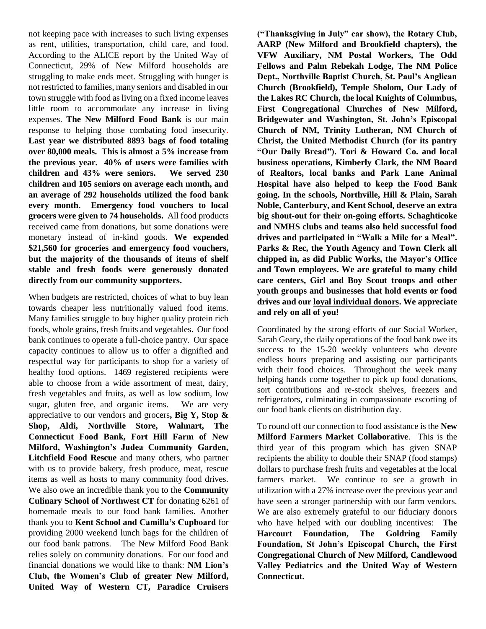not keeping pace with increases to such living expenses as rent, utilities, transportation, child care, and food. According to the ALICE report by the United Way of Connecticut, 29% of New Milford households are struggling to make ends meet. Struggling with hunger is not restricted to families, many seniors and disabled in our town struggle with food as living on a fixed income leaves little room to accommodate any increase in living expenses. **The New Milford Food Bank** is our main response to helping those combating food insecurity. **Last year we distributed 8893 bags of food totaling over 80,000 meals. This is almost a 5% increase from the previous year. 40% of users were families with children and 43% were seniors. We served 230 children and 105 seniors on average each month, and an average of 292 households utilized the food bank every month. Emergency food vouchers to local grocers were given to 74 households.** All food products received came from donations, but some donations were monetary instead of in-kind goods. **We expended \$21,560 for groceries and emergency food vouchers, but the majority of the thousands of items of shelf stable and fresh foods were generously donated directly from our community supporters.**

When budgets are restricted, choices of what to buy lean towards cheaper less nutritionally valued food items. Many families struggle to buy higher quality protein rich foods, whole grains, fresh fruits and vegetables. Our food bank continues to operate a full-choice pantry. Our space capacity continues to allow us to offer a dignified and respectful way for participants to shop for a variety of healthy food options. 1469 registered recipients were able to choose from a wide assortment of meat, dairy, fresh vegetables and fruits, as well as low sodium, low sugar, gluten free, and organic items. We are very appreciative to our vendors and grocers**, Big Y, Stop & Shop, Aldi, Northville Store, Walmart, The Connecticut Food Bank, Fort Hill Farm of New Milford, Washington's Judea Community Garden, Litchfield Food Rescue** and many others, who partner with us to provide bakery, fresh produce, meat, rescue items as well as hosts to many community food drives. We also owe an incredible thank you to the **Community Culinary School of Northwest CT** for donating 6261 of homemade meals to our food bank families. Another thank you to **Kent School and Camilla's Cupboard** for providing 2000 weekend lunch bags for the children of our food bank patrons. The New Milford Food Bank relies solely on community donations. For our food and financial donations we would like to thank: **NM Lion's Club, the Women's Club of greater New Milford, United Way of Western CT, Paradice Cruisers** 

**("Thanksgiving in July" car show), the Rotary Club, AARP (New Milford and Brookfield chapters), the VFW Auxiliary, NM Postal Workers, The Odd Fellows and Palm Rebekah Lodge, The NM Police Dept., Northville Baptist Church, St. Paul's Anglican Church (Brookfield), Temple Sholom, Our Lady of the Lakes RC Church, the local Knights of Columbus, First Congregational Churches of New Milford, Bridgewater and Washington, St. John's Episcopal Church of NM, Trinity Lutheran, NM Church of Christ, the United Methodist Church (for its pantry "Our Daily Bread"). Tori & Howard Co. and local business operations, Kimberly Clark, the NM Board of Realtors, local banks and Park Lane Animal Hospital have also helped to keep the Food Bank going. In the schools, Northville, Hill & Plain, Sarah Noble, Canterbury, and Kent School, deserve an extra big shout-out for their on-going efforts. Schaghticoke and NMHS clubs and teams also held successful food drives and participated in "Walk a Mile for a Meal". Parks & Rec, the Youth Agency and Town Clerk all chipped in, as did Public Works, the Mayor's Office and Town employees. We are grateful to many child care centers, Girl and Boy Scout troops and other youth groups and businesses that hold events or food drives and our loyal individual donors. We appreciate and rely on all of you!**

Coordinated by the strong efforts of our Social Worker, Sarah Geary, the daily operations of the food bank owe its success to the 15-20 weekly volunteers who devote endless hours preparing and assisting our participants with their food choices. Throughout the week many helping hands come together to pick up food donations, sort contributions and re-stock shelves, freezers and refrigerators, culminating in compassionate escorting of our food bank clients on distribution day.

To round off our connection to food assistance is the **New Milford Farmers Market Collaborative**. This is the third year of this program which has given SNAP recipients the ability to double their SNAP (food stamps) dollars to purchase fresh fruits and vegetables at the local farmers market. We continue to see a growth in utilization with a 27% increase over the previous year and have seen a stronger partnership with our farm vendors. We are also extremely grateful to our fiduciary donors who have helped with our doubling incentives: **The Harcourt Foundation, The Goldring Family Foundation, St John's Episcopal Church, the First Congregational Church of New Milford, Candlewood Valley Pediatrics and the United Way of Western Connecticut.**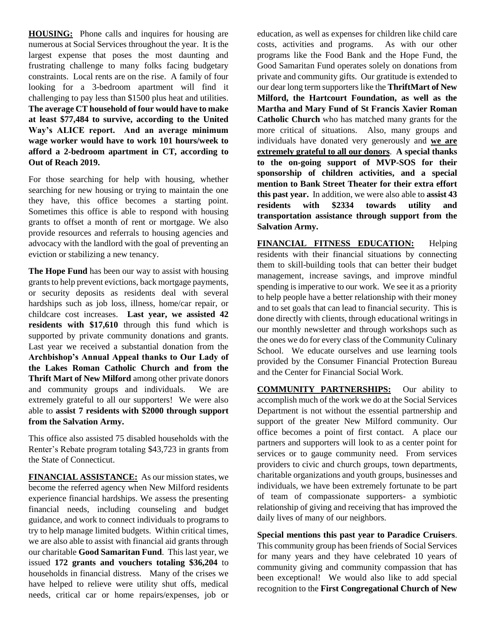**HOUSING:** Phone calls and inquires for housing are numerous at Social Services throughout the year. It is the largest expense that poses the most daunting and frustrating challenge to many folks facing budgetary constraints. Local rents are on the rise. A family of four looking for a 3-bedroom apartment will find it challenging to pay less than \$1500 plus heat and utilities. **The average CT household of four would have to make at least \$77,484 to survive, according to the United Way's ALICE report. And an average minimum wage worker would have to work 101 hours/week to afford a 2-bedroom apartment in CT, according to Out of Reach 2019.**

For those searching for help with housing, whether searching for new housing or trying to maintain the one they have, this office becomes a starting point. Sometimes this office is able to respond with housing grants to offset a month of rent or mortgage. We also provide resources and referrals to housing agencies and advocacy with the landlord with the goal of preventing an eviction or stabilizing a new tenancy.

**The Hope Fund** has been our way to assist with housing grants to help prevent evictions, back mortgage payments, or security deposits as residents deal with several hardships such as job loss, illness, home/car repair, or childcare cost increases. **Last year, we assisted 42 residents with \$17,610** through this fund which is supported by private community donations and grants. Last year we received a substantial donation from the **Archbishop's Annual Appeal thanks to Our Lady of the Lakes Roman Catholic Church and from the Thrift Mart of New Milford** among other private donors and community groups and individuals. We are extremely grateful to all our supporters! We were also able to **assist 7 residents with \$2000 through support from the Salvation Army.**

This office also assisted 75 disabled households with the Renter's Rebate program totaling \$43,723 in grants from the State of Connecticut.

**FINANCIAL ASSISTANCE:** As our mission states, we become the referred agency when New Milford residents experience financial hardships. We assess the presenting financial needs, including counseling and budget guidance, and work to connect individuals to programs to try to help manage limited budgets. Within critical times, we are also able to assist with financial aid grants through our charitable **Good Samaritan Fund**. This last year, we issued **172 grants and vouchers totaling \$36,204** to households in financial distress. Many of the crises we have helped to relieve were utility shut offs, medical needs, critical car or home repairs/expenses, job or

education, as well as expenses for children like child care costs, activities and programs. As with our other programs like the Food Bank and the Hope Fund, the Good Samaritan Fund operates solely on donations from private and community gifts. Our gratitude is extended to our dear long term supporters like the **ThriftMart of New Milford, the Hartcourt Foundation, as well as the Martha and Mary Fund of St Francis Xavier Roman Catholic Church** who has matched many grants for the more critical of situations. Also, many groups and individuals have donated very generously and **we are extremely grateful to all our donors**. **A special thanks to the on-going support of MVP-SOS for their sponsorship of children activities, and a special mention to Bank Street Theater for their extra effort this past year.** In addition, we were also able to **assist 43 residents with \$2334 towards utility and transportation assistance through support from the Salvation Army.**

**FINANCIAL FITNESS EDUCATION:** Helping residents with their financial situations by connecting them to skill-building tools that can better their budget management, increase savings, and improve mindful spending is imperative to our work. We see it as a priority to help people have a better relationship with their money and to set goals that can lead to financial security. This is done directly with clients, through educational writings in our monthly newsletter and through workshops such as the ones we do for every class of the Community Culinary School. We educate ourselves and use learning tools provided by the Consumer Financial Protection Bureau and the Center for Financial Social Work.

**COMMUNITY PARTNERSHIPS:** Our ability to accomplish much of the work we do at the Social Services Department is not without the essential partnership and support of the greater New Milford community. Our office becomes a point of first contact. A place our partners and supporters will look to as a center point for services or to gauge community need. From services providers to civic and church groups, town departments, charitable organizations and youth groups, businesses and individuals, we have been extremely fortunate to be part of team of compassionate supporters- a symbiotic relationship of giving and receiving that has improved the daily lives of many of our neighbors.

**Special mentions this past year to Paradice Cruisers**. This community group has been friends of Social Services for many years and they have celebrated 10 years of community giving and community compassion that has been exceptional! We would also like to add special recognition to the **First Congregational Church of New**